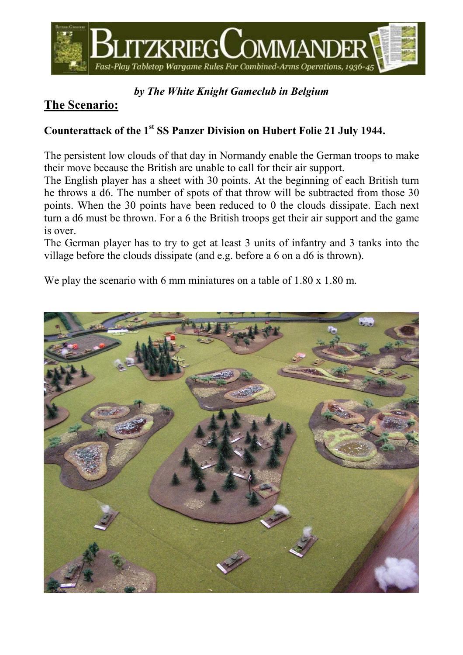

#### by The White Knight Gameclub in Belgium

## The Scenario:

#### Counterattack of the 1<sup>st</sup> SS Panzer Division on Hubert Folie 21 July 1944.

The persistent low clouds of that day in Normandy enable the German troops to make their move because the British are unable to call for their air support.

The English player has a sheet with 30 points. At the beginning of each British turn he throws a d6. The number of spots of that throw will be subtracted from those 30 points. When the 30 points have been reduced to 0 the clouds dissipate. Each next turn a d6 must be thrown. For a 6 the British troops get their air support and the game is over.

The German player has to try to get at least 3 units of infantry and 3 tanks into the village before the clouds dissipate (and e.g. before a 6 on a d6 is thrown).

We play the scenario with 6 mm miniatures on a table of 1.80 x 1.80 m.

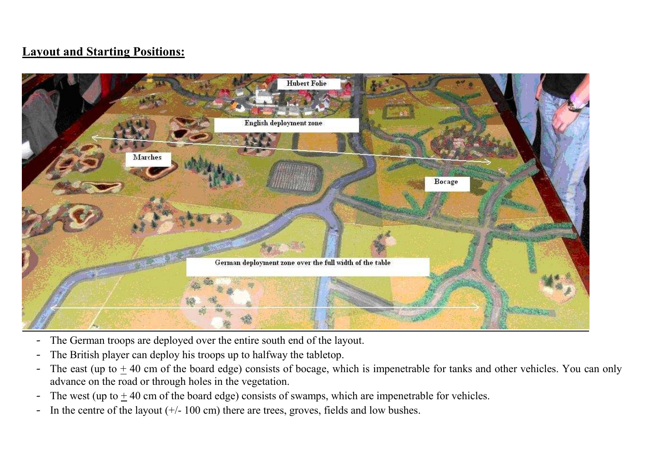## Layout and Starting Positions:



- -The German troops are deployed over the entire south end of the layout.
- -The British player can deploy his troops up to halfway the tabletop.
- $\hbox{\small -}$ The east (up to  $+40$  cm of the board edge) consists of bocage, which is impenetrable for tanks and other vehicles. You can only advance on the road or through holes in the vegetation.
- -The west (up to  $\pm$  40 cm of the board edge) consists of swamps, which are impenetrable for vehicles.
- -In the centre of the layout  $(+/- 100 \text{ cm})$  there are trees, groves, fields and low bushes.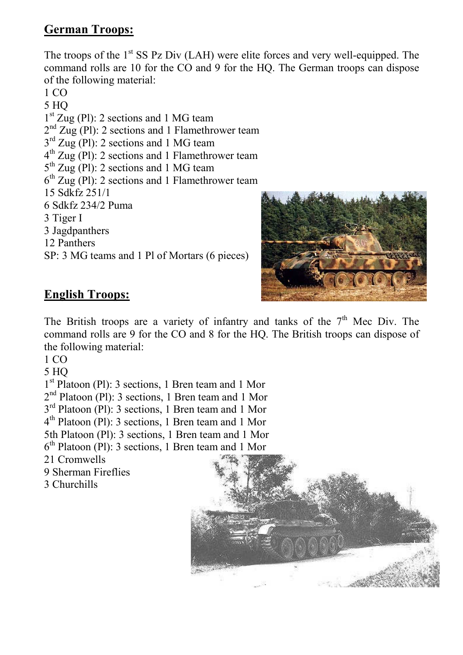## German Troops:

The troops of the  $1<sup>st</sup>$  SS Pz Div (LAH) were elite forces and very well-equipped. The command rolls are 10 for the CO and 9 for the HQ. The German troops can dispose of the following material:

1 CO 5 HQ 1 st Zug (Pl): 2 sections and 1 MG team  $2<sup>nd</sup> Zug$  (Pl): 2 sections and 1 Flamethrower team  $3<sup>rd</sup>$  Zug (Pl): 2 sections and 1 MG team  $4<sup>th</sup>$  Zug (Pl): 2 sections and 1 Flamethrower team 5<sup>th</sup> Zug (Pl): 2 sections and 1 MG team  $6<sup>th</sup>$  Zug (Pl): 2 sections and 1 Flamethrower team 15 Sdkfz 251/1 6 Sdkfz 234/2 Puma 3 Tiger I 3 Jagdpanthers 12 Panthers SP: 3 MG teams and 1 Pl of Mortars (6 pieces)



## English Troops:

The British troops are a variety of infantry and tanks of the  $7<sup>th</sup>$  Mec Div. The command rolls are 9 for the CO and 8 for the HQ. The British troops can dispose of the following material:

1 CO

5 HQ

1 st Platoon (Pl): 3 sections, 1 Bren team and 1 Mor

2<sup>nd</sup> Platoon (Pl): 3 sections, 1 Bren team and 1 Mor

3<sup>rd</sup> Platoon (Pl): 3 sections, 1 Bren team and 1 Mor

4 th Platoon (Pl): 3 sections, 1 Bren team and 1 Mor

5th Platoon (Pl): 3 sections, 1 Bren team and 1 Mor

6 th Platoon (Pl): 3 sections, 1 Bren team and 1 Mor

- 21 Cromwells
- 9 Sherman Fireflies
- 3 Churchills

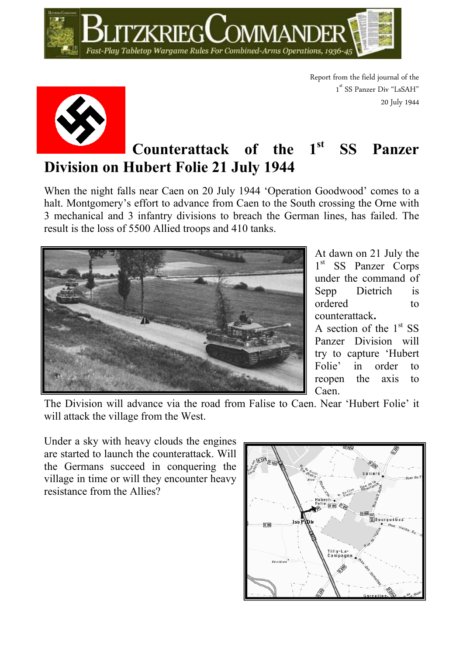



Report from the field journal of the 1<sup>st</sup> SS Panzer Div "LsSAH" 20 July 1944

## Counterattack of the 1<sup>st</sup> SS Panzer Division on Hubert Folie 21 July 1944

When the night falls near Caen on 20 July 1944 'Operation Goodwood' comes to a halt. Montgomery's effort to advance from Caen to the South crossing the Orne with 3 mechanical and 3 infantry divisions to breach the German lines, has failed. The result is the loss of 5500 Allied troops and 410 tanks.



At dawn on 21 July the 1<sup>st</sup> SS Panzer Corps under the command of Sepp Dietrich is ordered to counterattack.

A section of the  $1<sup>st</sup>$  SS Panzer Division will try to capture 'Hubert Folie' in order to reopen the axis to Caen.

The Division will advance via the road from Falise to Caen. Near 'Hubert Folie' it will attack the village from the West.

Under a sky with heavy clouds the engines are started to launch the counterattack. Will the Germans succeed in conquering the village in time or will they encounter heavy resistance from the Allies?